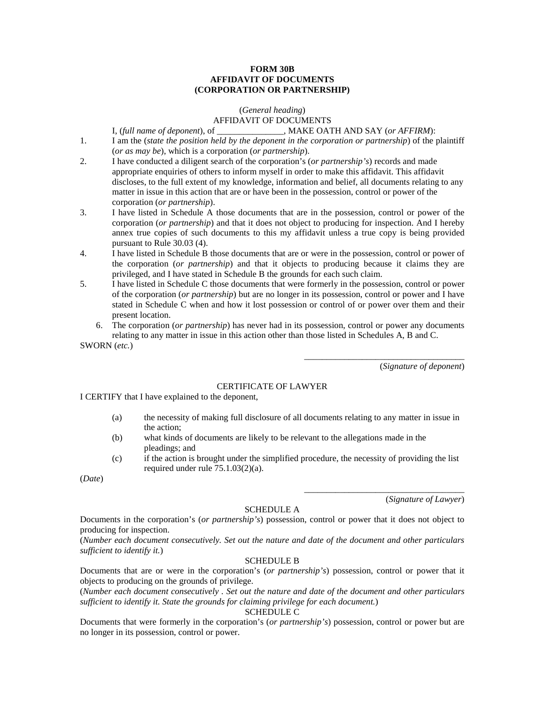#### **FORM 30B AFFIDAVIT OF DOCUMENTS (CORPORATION OR PARTNERSHIP)**

### (*General heading*) AFFIDAVIT OF DOCUMENTS

# I, (*full name of deponent*), of \_\_\_\_\_\_\_\_\_\_\_\_\_\_\_, MAKE OATH AND SAY (*or AFFIRM*):

- 1. I am the (*state the position held by the deponent in the corporation or partnership*) of the plaintiff (*or as may be*), which is a corporation (*or partnership*).
- 2. I have conducted a diligent search of the corporation's (*or partnership's*) records and made appropriate enquiries of others to inform myself in order to make this affidavit. This affidavit discloses, to the full extent of my knowledge, information and belief, all documents relating to any matter in issue in this action that are or have been in the possession, control or power of the corporation (*or partnership*).
- 3. I have listed in Schedule A those documents that are in the possession, control or power of the corporation (*or partnership*) and that it does not object to producing for inspection. And I hereby annex true copies of such documents to this my affidavit unless a true copy is being provided pursuant to Rule 30.03 (4).
- 4. I have listed in Schedule B those documents that are or were in the possession, control or power of the corporation (*or partnership*) and that it objects to producing because it claims they are privileged, and I have stated in Schedule B the grounds for each such claim.
- 5. I have listed in Schedule C those documents that were formerly in the possession, control or power of the corporation (*or partnership*) but are no longer in its possession, control or power and I have stated in Schedule C when and how it lost possession or control of or power over them and their present location.
	- 6. The corporation (*or partnership*) has never had in its possession, control or power any documents relating to any matter in issue in this action other than those listed in Schedules A, B and C.

SWORN (*etc.*)

(*Signature of deponent*)

\_\_\_\_\_\_\_\_\_\_\_\_\_\_\_\_\_\_\_\_\_\_\_\_\_\_\_\_\_\_\_\_\_\_\_\_

\_\_\_\_\_\_\_\_\_\_\_\_\_\_\_\_\_\_\_\_\_\_\_\_\_\_\_\_\_\_\_\_\_\_\_\_

## CERTIFICATE OF LAWYER

I CERTIFY that I have explained to the deponent,

- (a) the necessity of making full disclosure of all documents relating to any matter in issue in the action;
- (b) what kinds of documents are likely to be relevant to the allegations made in the pleadings; and
- (c) if the action is brought under the simplified procedure, the necessity of providing the list required under rule 75.1.03(2)(a).

(*Date*)

(*Signature of Lawyer*)

# SCHEDULE A

Documents in the corporation's (*or partnership's*) possession, control or power that it does not object to producing for inspection.

(*Number each document consecutively. Set out the nature and date of the document and other particulars sufficient to identify it.*)

#### SCHEDULE B

Documents that are or were in the corporation's (*or partnership's*) possession, control or power that it objects to producing on the grounds of privilege.

(*Number each document consecutively . Set out the nature and date of the document and other particulars sufficient to identify it. State the grounds for claiming privilege for each document.*)

#### SCHEDULE C

Documents that were formerly in the corporation's (*or partnership's*) possession, control or power but are no longer in its possession, control or power.